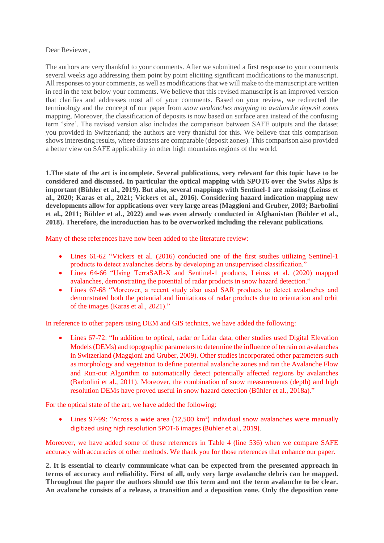## Dear Reviewer,

The authors are very thankful to your comments. After we submitted a first response to your comments several weeks ago addressing them point by point eliciting significant modifications to the manuscript. All responses to your comments, as well as modifications that we will make to the manuscript are written in red in the text below your comments. We believe that this revised manuscript is an improved version that clarifies and addresses most all of your comments. Based on your review, we redirected the terminology and the concept of our paper from *snow avalanches mapping* to *avalanche deposit zones* mapping. Moreover, the classification of deposits is now based on surface area instead of the confusing term 'size'. The revised version also includes the comparison between SAFE outputs and the dataset you provided in Switzerland; the authors are very thankful for this. We believe that this comparison shows interesting results, where datasets are comparable (deposit zones). This comparison also provided a better view on SAFE applicability in other high mountains regions of the world.

**1.The state of the art is incomplete. Several publications, very relevant for this topic have to be considered and discussed. In particular the optical mapping with SPOT6 over the Swiss Alps is important (Bühler et al., 2019). But also, several mappings with Sentinel-1 are missing (Leinss et al., 2020; Karas et al., 2021; Vickers et al., 2016). Considering hazard indication mapping new developments allow for applications over very large areas (Maggioni and Gruber, 2003; Barbolini et al., 2011; Bühler et al., 2022) and was even already conducted in Afghanistan (Bühler et al., 2018). Therefore, the introduction has to be overworked including the relevant publications.**

Many of these references have now been added to the literature review:

- Lines 61-62 "Vickers et al. (2016) conducted one of the first studies utilizing Sentinel-1 products to detect avalanches debris by developing an unsupervised classification."
- Lines 64-66 "Using TerraSAR-X and Sentinel-1 products, Leinss et al. (2020) mapped avalanches, demonstrating the potential of radar products in snow hazard detection."
- Lines 67-68 "Moreover, a recent study also used SAR products to detect avalanches and demonstrated both the potential and limitations of radar products due to orientation and orbit of the images (Karas et al., 2021)."

In reference to other papers using DEM and GIS technics, we have added the following:

• Lines 67-72: "In addition to optical, radar or Lidar data, other studies used Digital Elevation Models (DEMs) and topographic parameters to determine the influence of terrain on avalanches in Switzerland (Maggioni and Gruber, 2009). Other studies incorporated other parameters such as morphology and vegetation to define potential avalanche zones and ran the Avalanche Flow and Run-out Algorithm to automatically detect potentially affected regions by avalanches (Barbolini et al., 2011). Moreover, the combination of snow measurements (depth) and high resolution DEMs have proved useful in snow hazard detection (Bühler et al., 2018a)."

For the optical state of the art, we have added the following:

• Lines 97-99: "Across a wide area (12,500 km<sup>2</sup>) individual snow avalanches were manually digitized using high resolution SPOT-6 images (Bühler et al., 2019).

Moreover, we have added some of these references in Table 4 (line 536) when we compare SAFE accuracy with accuracies of other methods. We thank you for those references that enhance our paper.

**2. It is essential to clearly communicate what can be expected from the presented approach in terms of accuracy and reliability. First of all, only very large avalanche debris can be mapped. Throughout the paper the authors should use this term and not the term avalanche to be clear. An avalanche consists of a release, a transition and a deposition zone. Only the deposition zone**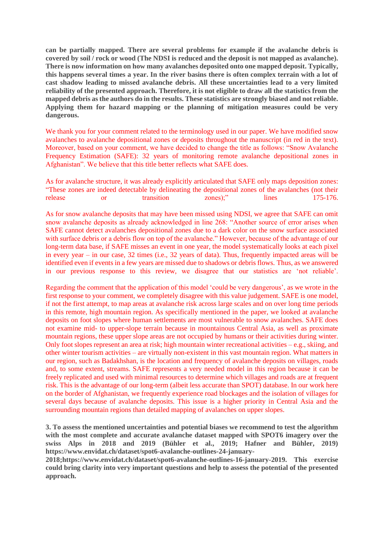**can be partially mapped. There are several problems for example if the avalanche debris is covered by soil / rock or wood (The NDSI is reduced and the deposit is not mapped as avalanche). There is now information on how many avalanches deposited onto one mapped deposit. Typically, this happens several times a year. In the river basins there is often complex terrain with a lot of cast shadow leading to missed avalanche debris. All these uncertainties lead to a very limited reliability of the presented approach. Therefore, it is not eligible to draw all the statistics from the mapped debris as the authors do in the results. These statistics are strongly biased and not reliable. Applying them for hazard mapping or the planning of mitigation measures could be very dangerous.**

We thank you for your comment related to the terminology used in our paper. We have modified snow avalanches to avalanche depositional zones or deposits throughout the manuscript (in red in the text). Moreover, based on your comment, we have decided to change the title as follows: "Snow Avalanche Frequency Estimation (SAFE): 32 years of monitoring remote avalanche depositional zones in Afghanistan". We believe that this title better reflects what SAFE does.

As for avalanche structure, it was already explicitly articulated that SAFE only maps deposition zones: "These zones are indeed detectable by delineating the depositional zones of the avalanches (not their release or transition zones);" lines 175-176.

As for snow avalanche deposits that may have been missed using NDSI, we agree that SAFE can omit snow avalanche deposits as already acknowledged in line 268: "Another source of error arises when SAFE cannot detect avalanches depositional zones due to a dark color on the snow surface associated with surface debris or a debris flow on top of the avalanche." However, because of the advantage of our long-term data base, if SAFE misses an event in one year, the model systematically looks at each pixel in every year – in our case, 32 times (i.e., 32 years of data). Thus, frequently impacted areas will be identified even if events in a few years are missed due to shadows or debris flows. Thus, as we answered in our previous response to this review, we disagree that our statistics are 'not reliable'.

Regarding the comment that the application of this model 'could be very dangerous', as we wrote in the first response to your comment, we completely disagree with this value judgement. SAFE is one model, if not the first attempt, to map areas at avalanche risk across large scales and on over long time periods in this remote, high mountain region. As specifically mentioned in the paper, we looked at avalanche deposits on foot slopes where human settlements are most vulnerable to snow avalanches. SAFE does not examine mid- to upper-slope terrain because in mountainous Central Asia, as well as proximate mountain regions, these upper slope areas are not occupied by humans or their activities during winter. Only foot slopes represent an area at risk; high mountain winter recreational activities – e.g., skiing, and other winter tourism activities – are virtually non-existent in this vast mountain region. What matters in our region, such as Badakhshan, is the location and frequency of avalanche deposits on villages, roads and, to some extent, streams. SAFE represents a very needed model in this region because it can be freely replicated and used with minimal resources to determine which villages and roads are at frequent risk. This is the advantage of our long-term (albeit less accurate than SPOT) database. In our work here on the border of Afghanistan, we frequently experience road blockages and the isolation of villages for several days because of avalanche deposits. This issue is a higher priority in Central Asia and the surrounding mountain regions than detailed mapping of avalanches on upper slopes.

**3. To assess the mentioned uncertainties and potential biases we recommend to test the algorithm with the most complete and accurate avalanche dataset mapped with SPOT6 imagery over the swiss Alps in 2018 and 2019 (Bühler et al., 2019; Hafner and Bühler, 2019) https://www.envidat.ch/dataset/spot6-avalanche-outlines-24-january-**

**2018;https://www.envidat.ch/dataset/spot6-avalanche-outlines-16-january-2019. This exercise could bring clarity into very important questions and help to assess the potential of the presented approach.**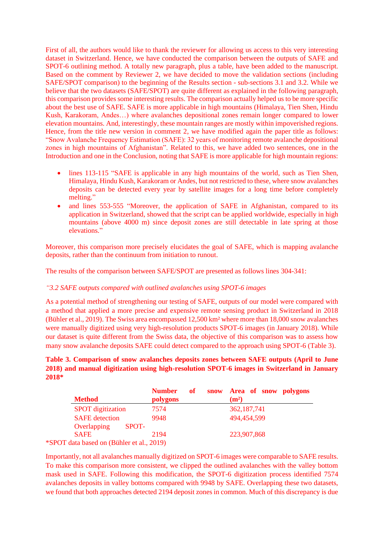First of all, the authors would like to thank the reviewer for allowing us access to this very interesting dataset in Switzerland. Hence, we have conducted the comparison between the outputs of SAFE and SPOT-6 outlining method. A totally new paragraph, plus a table, have been added to the manuscript. Based on the comment by Reviewer 2, we have decided to move the validation sections (including SAFE/SPOT comparison) to the beginning of the Results section - sub-sections 3.1 and 3.2. While we believe that the two datasets (SAFE/SPOT) are quite different as explained in the following paragraph, this comparison provides some interesting results. The comparison actually helped us to be more specific about the best use of SAFE. SAFE is more applicable in high mountains (Himalaya, Tien Shen, Hindu Kush, Karakoram, Andes…) where avalanches depositional zones remain longer compared to lower elevation mountains. And, interestingly, these mountain ranges are mostly within impoverished regions. Hence, from the title new version in comment 2, we have modified again the paper title as follows: "Snow Avalanche Frequency Estimation (SAFE): 32 years of monitoring remote avalanche depositional zones in high mountains of Afghanistan". Related to this, we have added two sentences, one in the Introduction and one in the Conclusion, noting that SAFE is more applicable for high mountain regions:

- lines 113-115 "SAFE is applicable in any high mountains of the world, such as Tien Shen, Himalaya, Hindu Kush, Karakoram or Andes, but not restricted to these, where snow avalanches deposits can be detected every year by satellite images for a long time before completely melting."
- and lines 553-555 "Moreover, the application of SAFE in Afghanistan, compared to its application in Switzerland, showed that the script can be applied worldwide, especially in high mountains (above 4000 m) since deposit zones are still detectable in late spring at those elevations."

Moreover, this comparison more precisely elucidates the goal of SAFE, which is mapping avalanche deposits, rather than the continuum from initiation to runout.

The results of the comparison between SAFE/SPOT are presented as follows lines 304-341:

## *"3.2 SAFE outputs compared with outlined avalanches using SPOT-6 images*

As a potential method of strengthening our testing of SAFE, outputs of our model were compared with a method that applied a more precise and expensive remote sensing product in Switzerland in 2018 (Bühler et al., 2019). The Swiss area encompassed 12,500 km² where more than 18,000 snow avalanches were manually digitized using very high-resolution products SPOT-6 images (in January 2018). While our dataset is quite different from the Swiss data, the objective of this comparison was to assess how many snow avalanche deposits SAFE could detect compared to the approach using SPOT-6 (Table 3).

## **Table 3. Comparison of snow avalanches deposits zones between SAFE outputs (April to June 2018) and manual digitization using high-resolution SPOT-6 images in Switzerland in January 2018\***

| <b>Method</b>                                                            | <b>Number</b><br>polygons | of | snow Area of snow polygons<br>(m <sup>2</sup> ) |
|--------------------------------------------------------------------------|---------------------------|----|-------------------------------------------------|
| <b>SPOT</b> digitization                                                 | 7574                      |    | 362, 187, 741                                   |
| <b>SAFE</b> detection                                                    | 9948                      |    | 494,454,599                                     |
| Overlapping<br>SPOT-                                                     |                           |    |                                                 |
| <b>SAFE</b>                                                              | 2194                      |    | 223,907,868                                     |
| $T_{\text{data}}$ heard on $(D_{\text{theta}}^{n})_{\text{data}} \geq 1$ |                           |    |                                                 |

\*SPOT data based on (Bühler et al., 2019)

Importantly, not all avalanches manually digitized on SPOT-6 images were comparable to SAFE results. To make this comparison more consistent, we clipped the outlined avalanches with the valley bottom mask used in SAFE. Following this modification, the SPOT-6 digitization process identified 7574 avalanches deposits in valley bottoms compared with 9948 by SAFE. Overlapping these two datasets, we found that both approaches detected 2194 deposit zones in common. Much of this discrepancy is due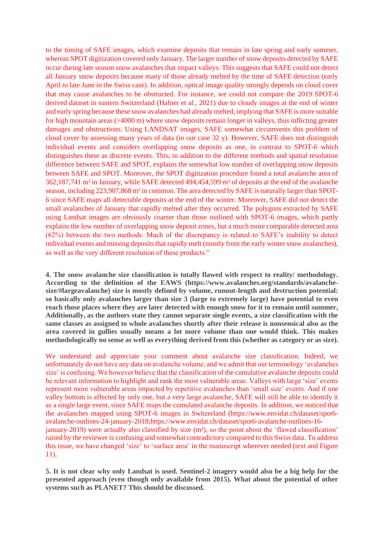to the timing of SAFE images, which examine deposits that remain in late spring and early summer, whereas SPOT digitization covered only January. The larger number of snow deposits detected by SAFE occur during late season snow avalanches that impact valleys. This suggests that SAFE could not detect all January snow deposits because many of those already melted by the time of SAFE detection (early April to late June in the Swiss case). In addition, optical image quality strongly depends on cloud cover that may cause avalanches to be obstructed. For instance, we could not compare the 2019 SPOT-6 derived dataset in eastern Switzerland (Hafner et al., 2021) due to cloudy images at the end of winter and early spring because these snow avalanches had already melted, implying that SAFE is more suitable for high mountain areas (>4000 m) where snow deposits remain longer in valleys, thus inflicting greater damages and obstructions. Using LANDSAT images, SAFE somewhat circumvents this problem of cloud cover by assessing many years of data (in our case 32 y). However, SAFE does not distinguish individual events and considers overlapping snow deposits as one, in contrast to SPOT-6 which distinguishes these as discrete events. This, in addition to the different methods and spatial resolution difference between SAFE and SPOT, explains the somewhat low number of overlapping snow deposits between SAFE and SPOT. Moreover, the SPOT digitization procedure found a total avalanche area of 362,187,741 m² in January, while SAFE detected 494,454,599 m² of deposits at the end of the avalanche season, including 223,907,868 m² in common. The area detected by SAFE is naturally larger than SPOT-6 since SAFE maps all detectable deposits at the end of the winter. Moreover, SAFE did not detect the small avalanches of January that rapidly melted after they occurred. The polygons extracted by SAFE using Landsat images are obviously coarser than those outlined with SPOT-6 images, which partly explains the low number of overlapping snow deposit zones, but a much more comparable detected area (62%) between the two methods. Much of the discrepancy is related to SAFE's inability to detect individual events and missing deposits that rapidly melt (mostly from the early winter snow avalanches), as well as the very different resolution of these products."

**4. The snow avalanche size classification is totally flawed with respect to reality/ methodology. According to the definition of the EAWS (https://www.avalanches.org/standards/avalanchesize/#largeavalanche) size is mostly defined by volume, runout-length and destruction potential: so basically only avalanches larger than size 3 (large to extremely large) have potential to even reach those places where they are later detected with enough snow for it to remain until summer, Additionally, as the authors state they cannot separate single events, a size classification with the same classes as assigned to whole avalanches shortly after their release is nonsensical also as the area covered in gullies usually means a lot more volume than one would think. This makes methodologically no sense as well as everything derived from this (whether as category or as size).**

We understand and appreciate your comment about avalanche size classification. Indeed, we unfortunately do not have any data on avalanche volume, and we admit that our terminology 'avalanches size' is confusing. We however believe that the classification of the cumulative avalanche deposits could be relevant information to highlight and rank the most vulnerable areas. Valleys with large 'size' events represent more vulnerable areas impacted by repetitive avalanches than 'small size' events. And if one valley bottom is affected by only one, but a very large avalanche, SAFE will still be able to identify it as a single large event, since SAFE maps the cumulated avalanche deposits. In addition, we noticed that the avalanches mapped using SPOT-6 images in Switzerland (https://www.envidat.ch/dataset/spot6 avalanche-outlines-24-january-2018;https://www.envidat.ch/dataset/spot6-avalanche-outlines-16 january-2019) were actually also classified by size (m²), so the point about the 'flawed classification' raised by the reviewer is confusing and somewhat contradictory compared to this Swiss data. To address this issue, we have changed 'size' to 'surface area' in the manuscript wherever needed (text and Figure 11).

**5. It is not clear why only Landsat is used. Sentinel-2 imagery would also be a big help for the presented approach (even though only available from 2015). What about the potential of other systems such as PLANET? This should be discussed.**